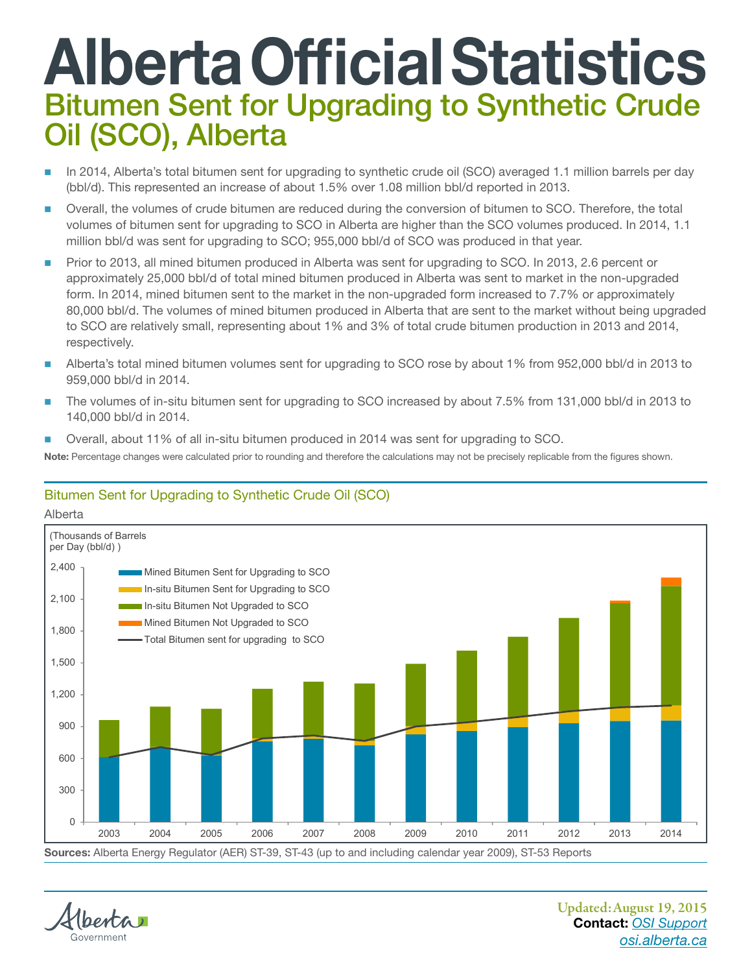## Alberta Official Statistics Bitumen Sent for Upgrading to Synthetic Crude Oil (SCO), Alberta

- In 2014, Alberta's total bitumen sent for upgrading to synthetic crude oil (SCO) averaged 1.1 million barrels per day (bbl/d). This represented an increase of about 1.5% over 1.08 million bbl/d reported in 2013.
- Overall, the volumes of crude bitumen are reduced during the conversion of bitumen to SCO. Therefore, the total volumes of bitumen sent for upgrading to SCO in Alberta are higher than the SCO volumes produced. In 2014, 1.1 million bbl/d was sent for upgrading to SCO; 955,000 bbl/d of SCO was produced in that year.
- **Prior to 2013, all mined bitumen produced in Alberta was sent for upgrading to SCO. In 2013, 2.6 percent or** approximately 25,000 bbl/d of total mined bitumen produced in Alberta was sent to market in the non‑upgraded form. In 2014, mined bitumen sent to the market in the non-upgraded form increased to 7.7% or approximately 80,000 bbl/d. The volumes of mined bitumen produced in Alberta that are sent to the market without being upgraded to SCO are relatively small, representing about 1% and 3% of total crude bitumen production in 2013 and 2014, respectively.
- Alberta's total mined bitumen volumes sent for upgrading to SCO rose by about 1% from 952,000 bbl/d in 2013 to 959,000 bbl/d in 2014.
- The volumes of in-situ bitumen sent for upgrading to SCO increased by about 7.5% from 131,000 bbl/d in 2013 to 140,000 bbl/d in 2014.
	- Overall, about 11% of all in‑situ bitumen produced in 2014 was sent for upgrading to SCO.

Note: Percentage changes were calculated prior to rounding and therefore the calculations may not be precisely replicable from the figures shown.

## Bitumen Sent for Upgrading to Synthetic Crude Oil (SCO)



Sources: Alberta Energy Regulator (AER) ST-39, ST-43 (up to and including calendar year 2009), ST-53 Reports

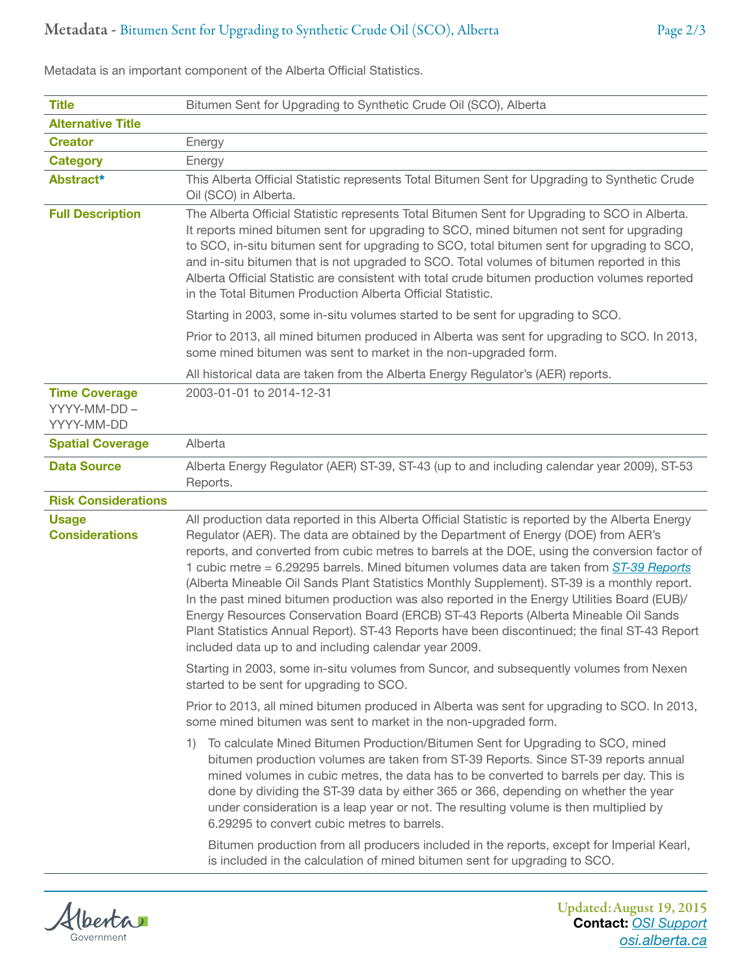| <b>Title</b>                                       | Bitumen Sent for Upgrading to Synthetic Crude Oil (SCO), Alberta                                                                                                                                                                                                                                                                                                                                                                                                                                                                                                                                                                                                                                                                                                                                                                        |
|----------------------------------------------------|-----------------------------------------------------------------------------------------------------------------------------------------------------------------------------------------------------------------------------------------------------------------------------------------------------------------------------------------------------------------------------------------------------------------------------------------------------------------------------------------------------------------------------------------------------------------------------------------------------------------------------------------------------------------------------------------------------------------------------------------------------------------------------------------------------------------------------------------|
| <b>Alternative Title</b>                           |                                                                                                                                                                                                                                                                                                                                                                                                                                                                                                                                                                                                                                                                                                                                                                                                                                         |
| <b>Creator</b>                                     | Energy                                                                                                                                                                                                                                                                                                                                                                                                                                                                                                                                                                                                                                                                                                                                                                                                                                  |
| <b>Category</b>                                    | Energy                                                                                                                                                                                                                                                                                                                                                                                                                                                                                                                                                                                                                                                                                                                                                                                                                                  |
| Abstract*                                          | This Alberta Official Statistic represents Total Bitumen Sent for Upgrading to Synthetic Crude<br>Oil (SCO) in Alberta.                                                                                                                                                                                                                                                                                                                                                                                                                                                                                                                                                                                                                                                                                                                 |
| <b>Full Description</b>                            | The Alberta Official Statistic represents Total Bitumen Sent for Upgrading to SCO in Alberta.<br>It reports mined bitumen sent for upgrading to SCO, mined bitumen not sent for upgrading<br>to SCO, in-situ bitumen sent for upgrading to SCO, total bitumen sent for upgrading to SCO,<br>and in-situ bitumen that is not upgraded to SCO. Total volumes of bitumen reported in this<br>Alberta Official Statistic are consistent with total crude bitumen production volumes reported<br>in the Total Bitumen Production Alberta Official Statistic.                                                                                                                                                                                                                                                                                 |
|                                                    | Starting in 2003, some in-situ volumes started to be sent for upgrading to SCO.                                                                                                                                                                                                                                                                                                                                                                                                                                                                                                                                                                                                                                                                                                                                                         |
|                                                    | Prior to 2013, all mined bitumen produced in Alberta was sent for upgrading to SCO. In 2013,<br>some mined bitumen was sent to market in the non-upgraded form.                                                                                                                                                                                                                                                                                                                                                                                                                                                                                                                                                                                                                                                                         |
|                                                    | All historical data are taken from the Alberta Energy Regulator's (AER) reports.                                                                                                                                                                                                                                                                                                                                                                                                                                                                                                                                                                                                                                                                                                                                                        |
| <b>Time Coverage</b><br>YYYY-MM-DD -<br>YYYY-MM-DD | 2003-01-01 to 2014-12-31                                                                                                                                                                                                                                                                                                                                                                                                                                                                                                                                                                                                                                                                                                                                                                                                                |
| <b>Spatial Coverage</b>                            | Alberta                                                                                                                                                                                                                                                                                                                                                                                                                                                                                                                                                                                                                                                                                                                                                                                                                                 |
| <b>Data Source</b>                                 | Alberta Energy Regulator (AER) ST-39, ST-43 (up to and including calendar year 2009), ST-53<br>Reports.                                                                                                                                                                                                                                                                                                                                                                                                                                                                                                                                                                                                                                                                                                                                 |
| <b>Risk Considerations</b>                         |                                                                                                                                                                                                                                                                                                                                                                                                                                                                                                                                                                                                                                                                                                                                                                                                                                         |
| <b>Usage</b><br><b>Considerations</b>              | All production data reported in this Alberta Official Statistic is reported by the Alberta Energy<br>Regulator (AER). The data are obtained by the Department of Energy (DOE) from AER's<br>reports, and converted from cubic metres to barrels at the DOE, using the conversion factor of<br>1 cubic metre = 6.29295 barrels. Mined bitumen volumes data are taken from ST-39 Reports<br>(Alberta Mineable Oil Sands Plant Statistics Monthly Supplement). ST-39 is a monthly report.<br>In the past mined bitumen production was also reported in the Energy Utilities Board (EUB)/<br>Energy Resources Conservation Board (ERCB) ST-43 Reports (Alberta Mineable Oil Sands<br>Plant Statistics Annual Report). ST-43 Reports have been discontinued; the final ST-43 Report<br>included data up to and including calendar year 2009. |
|                                                    | Starting in 2003, some in-situ volumes from Suncor, and subsequently volumes from Nexen<br>started to be sent for upgrading to SCO.                                                                                                                                                                                                                                                                                                                                                                                                                                                                                                                                                                                                                                                                                                     |
|                                                    | Prior to 2013, all mined bitumen produced in Alberta was sent for upgrading to SCO. In 2013,<br>some mined bitumen was sent to market in the non-upgraded form.                                                                                                                                                                                                                                                                                                                                                                                                                                                                                                                                                                                                                                                                         |
|                                                    | To calculate Mined Bitumen Production/Bitumen Sent for Upgrading to SCO, mined<br>1)<br>bitumen production volumes are taken from ST-39 Reports. Since ST-39 reports annual<br>mined volumes in cubic metres, the data has to be converted to barrels per day. This is<br>done by dividing the ST-39 data by either 365 or 366, depending on whether the year<br>under consideration is a leap year or not. The resulting volume is then multiplied by<br>6.29295 to convert cubic metres to barrels.<br>Bitumen production from all producers included in the reports, except for Imperial Kearl,                                                                                                                                                                                                                                      |
|                                                    | is included in the calculation of mined bitumen sent for upgrading to SCO.                                                                                                                                                                                                                                                                                                                                                                                                                                                                                                                                                                                                                                                                                                                                                              |

Metadata is an important component of the Alberta Official Statistics.